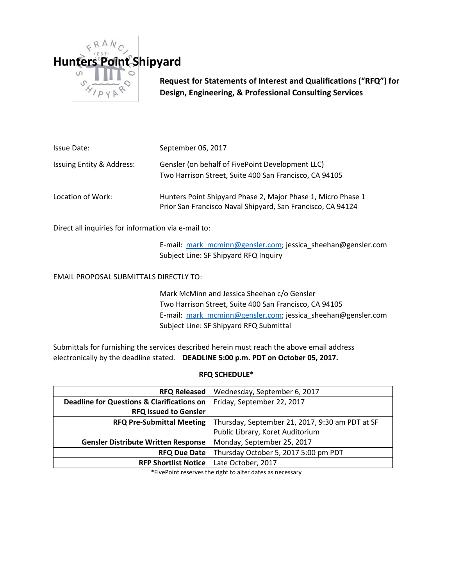

**Request for Statements of Interest and Qualifications ("RFQ") for Design, Engineering, & Professional Consulting Services**

| Issue Date:               | September 06, 2017                                                                                                          |  |
|---------------------------|-----------------------------------------------------------------------------------------------------------------------------|--|
| Issuing Entity & Address: | Gensler (on behalf of FivePoint Development LLC)<br>Two Harrison Street, Suite 400 San Francisco, CA 94105                  |  |
| Location of Work:         | Hunters Point Shipyard Phase 2, Major Phase 1, Micro Phase 1<br>Prior San Francisco Naval Shipyard, San Francisco, CA 94124 |  |

Direct all inquiries for information via e-mail to:

E-mail: [mark\\_mcminn@gensler.com;](mailto:mark_mcminn@gensler.com) jessica\_sheehan@gensler.com Subject Line: SF Shipyard RFQ Inquiry

EMAIL PROPOSAL SUBMITTALS DIRECTLY TO:

Mark McMinn and Jessica Sheehan c/o Gensler Two Harrison Street, Suite 400 San Francisco, CA 94105 E-mail: [mark\\_mcminn@gensler.com;](mailto:mark_mcminn@gensler.com) jessica\_sheehan@gensler.com Subject Line: SF Shipyard RFQ Submittal

Submittals for furnishing the services described herein must reach the above email address electronically by the deadline stated. **DEADLINE 5:00 p.m. PDT on October 05, 2017.**

#### **RFQ SCHEDULE\***

| <b>RFQ Released</b>                                   | Wednesday, September 6, 2017                    |
|-------------------------------------------------------|-------------------------------------------------|
| <b>Deadline for Questions &amp; Clarifications on</b> | Friday, September 22, 2017                      |
| <b>RFQ issued to Gensler</b>                          |                                                 |
| <b>RFQ Pre-Submittal Meeting</b>                      | Thursday, September 21, 2017, 9:30 am PDT at SF |
|                                                       | Public Library, Koret Auditorium                |
| <b>Gensler Distribute Written Response</b>            | Monday, September 25, 2017                      |
| <b>RFQ Due Date</b>                                   | Thursday October 5, 2017 5:00 pm PDT            |
| <b>RFP Shortlist Notice</b>                           | Late October, 2017                              |

\*FivePoint reserves the right to alter dates as necessary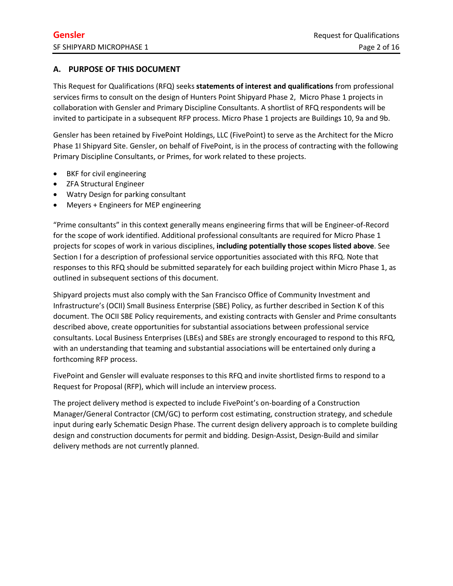# **A. PURPOSE OF THIS DOCUMENT**

This Request for Qualifications (RFQ) seeks **statements of interest and qualifications** from professional services firms to consult on the design of Hunters Point Shipyard Phase 2, Micro Phase 1 projects in collaboration with Gensler and Primary Discipline Consultants. A shortlist of RFQ respondents will be invited to participate in a subsequent RFP process. Micro Phase 1 projects are Buildings 10, 9a and 9b.

Gensler has been retained by FivePoint Holdings, LLC (FivePoint) to serve as the Architect for the Micro Phase 1I Shipyard Site. Gensler, on behalf of FivePoint, is in the process of contracting with the following Primary Discipline Consultants, or Primes, for work related to these projects.

- BKF for civil engineering
- ZFA Structural Engineer
- Watry Design for parking consultant
- Meyers + Engineers for MEP engineering

"Prime consultants" in this context generally means engineering firms that will be Engineer-of-Record for the scope of work identified. Additional professional consultants are required for Micro Phase 1 projects for scopes of work in various disciplines, **including potentially those scopes listed above**. See Section I for a description of professional service opportunities associated with this RFQ. Note that responses to this RFQ should be submitted separately for each building project within Micro Phase 1, as outlined in subsequent sections of this document.

Shipyard projects must also comply with the San Francisco Office of Community Investment and Infrastructure's (OCII) Small Business Enterprise (SBE) Policy, as further described in Section K of this document. The OCII SBE Policy requirements, and existing contracts with Gensler and Prime consultants described above, create opportunities for substantial associations between professional service consultants. Local Business Enterprises (LBEs) and SBEs are strongly encouraged to respond to this RFQ, with an understanding that teaming and substantial associations will be entertained only during a forthcoming RFP process.

FivePoint and Gensler will evaluate responses to this RFQ and invite shortlisted firms to respond to a Request for Proposal (RFP), which will include an interview process.

The project delivery method is expected to include FivePoint's on-boarding of a Construction Manager/General Contractor (CM/GC) to perform cost estimating, construction strategy, and schedule input during early Schematic Design Phase. The current design delivery approach is to complete building design and construction documents for permit and bidding. Design-Assist, Design-Build and similar delivery methods are not currently planned.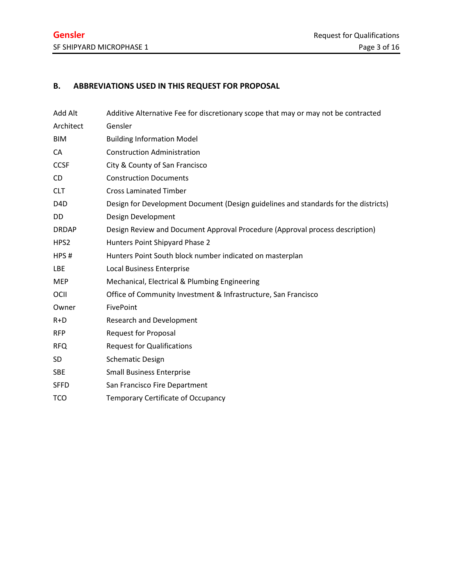# **B. ABBREVIATIONS USED IN THIS REQUEST FOR PROPOSAL**

| Add Alt          | Additive Alternative Fee for discretionary scope that may or may not be contracted  |
|------------------|-------------------------------------------------------------------------------------|
| Architect        | Gensler                                                                             |
| <b>BIM</b>       | <b>Building Information Model</b>                                                   |
| CA               | <b>Construction Administration</b>                                                  |
| <b>CCSF</b>      | City & County of San Francisco                                                      |
| <b>CD</b>        | <b>Construction Documents</b>                                                       |
| <b>CLT</b>       | <b>Cross Laminated Timber</b>                                                       |
| D <sub>4</sub> D | Design for Development Document (Design guidelines and standards for the districts) |
| DD.              | Design Development                                                                  |
| <b>DRDAP</b>     | Design Review and Document Approval Procedure (Approval process description)        |
| HPS <sub>2</sub> | Hunters Point Shipyard Phase 2                                                      |
| HPS#             | Hunters Point South block number indicated on masterplan                            |
| LBE              | <b>Local Business Enterprise</b>                                                    |
| <b>MEP</b>       | Mechanical, Electrical & Plumbing Engineering                                       |
| OCII             | Office of Community Investment & Infrastructure, San Francisco                      |
| Owner            | FivePoint                                                                           |
| $R+D$            | <b>Research and Development</b>                                                     |
| <b>RFP</b>       | <b>Request for Proposal</b>                                                         |
| <b>RFQ</b>       | <b>Request for Qualifications</b>                                                   |
| SD               | <b>Schematic Design</b>                                                             |
| <b>SBE</b>       | <b>Small Business Enterprise</b>                                                    |
| <b>SFFD</b>      | San Francisco Fire Department                                                       |
| <b>TCO</b>       | Temporary Certificate of Occupancy                                                  |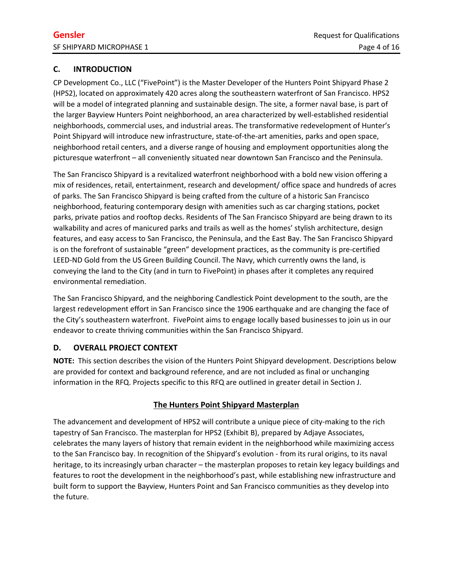# **C. INTRODUCTION**

CP Development Co., LLC ("FivePoint") is the Master Developer of the Hunters Point Shipyard Phase 2 (HPS2), located on approximately 420 acres along the southeastern waterfront of San Francisco. HPS2 will be a model of integrated planning and sustainable design. The site, a former naval base, is part of the larger Bayview Hunters Point neighborhood, an area characterized by well-established residential neighborhoods, commercial uses, and industrial areas. The transformative redevelopment of Hunter's Point Shipyard will introduce new infrastructure, state-of-the-art amenities, parks and open space, neighborhood retail centers, and a diverse range of housing and employment opportunities along the picturesque waterfront – all conveniently situated near downtown San Francisco and the Peninsula.

The San Francisco Shipyard is a revitalized waterfront neighborhood with a bold new vision offering a mix of residences, retail, entertainment, research and development/ office space and hundreds of acres of parks. The San Francisco Shipyard is being crafted from the culture of a historic San Francisco neighborhood, featuring contemporary design with amenities such as car charging stations, pocket parks, private patios and rooftop decks. Residents of The San Francisco Shipyard are being drawn to its walkability and acres of manicured parks and trails as well as the homes' stylish architecture, design features, and easy access to San Francisco, the Peninsula, and the East Bay. The San Francisco Shipyard is on the forefront of sustainable "green" development practices, as the community is pre-certified LEED-ND Gold from the US Green Building Council. The Navy, which currently owns the land, is conveying the land to the City (and in turn to FivePoint) in phases after it completes any required environmental remediation.

The San Francisco Shipyard, and the neighboring Candlestick Point development to the south, are the largest redevelopment effort in San Francisco since the 1906 earthquake and are changing the face of the City's southeastern waterfront. FivePoint aims to engage locally based businesses to join us in our endeavor to create thriving communities within the San Francisco Shipyard.

# **D. OVERALL PROJECT CONTEXT**

**NOTE:** This section describes the vision of the Hunters Point Shipyard development. Descriptions below are provided for context and background reference, and are not included as final or unchanging information in the RFQ. Projects specific to this RFQ are outlined in greater detail in Section J.

# **The Hunters Point Shipyard Masterplan**

The advancement and development of HPS2 will contribute a unique piece of city-making to the rich tapestry of San Francisco. The masterplan for HPS2 (Exhibit B), prepared by Adjaye Associates, celebrates the many layers of history that remain evident in the neighborhood while maximizing access to the San Francisco bay. In recognition of the Shipyard's evolution - from its rural origins, to its naval heritage, to its increasingly urban character – the masterplan proposes to retain key legacy buildings and features to root the development in the neighborhood's past, while establishing new infrastructure and built form to support the Bayview, Hunters Point and San Francisco communities as they develop into the future.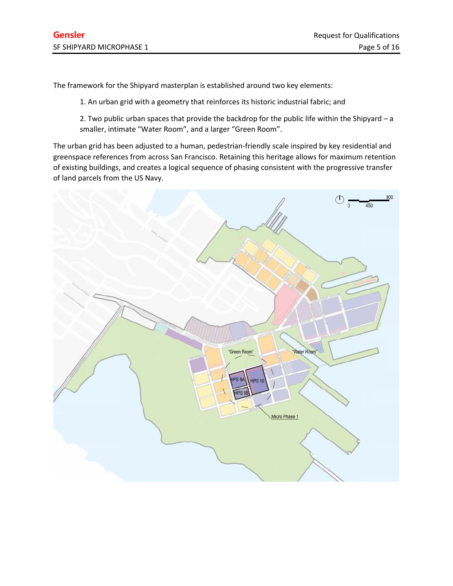The framework for the Shipyard masterplan is established around two key elements:

1. An urban grid with a geometry that reinforces its historic industrial fabric; and

2. Two public urban spaces that provide the backdrop for the public life within the Shipyard – a smaller, intimate "Water Room", and a larger "Green Room".

The urban grid has been adjusted to a human, pedestrian-friendly scale inspired by key residential and greenspace references from across San Francisco. Retaining this heritage allows for maximum retention of existing buildings, and creates a logical sequence of phasing consistent with the progressive transfer of land parcels from the US Navy.

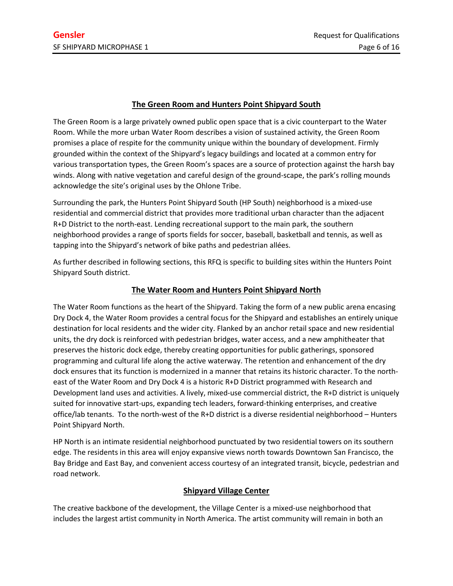# **The Green Room and Hunters Point Shipyard South**

The Green Room is a large privately owned public open space that is a civic counterpart to the Water Room. While the more urban Water Room describes a vision of sustained activity, the Green Room promises a place of respite for the community unique within the boundary of development. Firmly grounded within the context of the Shipyard's legacy buildings and located at a common entry for various transportation types, the Green Room's spaces are a source of protection against the harsh bay winds. Along with native vegetation and careful design of the ground-scape, the park's rolling mounds acknowledge the site's original uses by the Ohlone Tribe.

Surrounding the park, the Hunters Point Shipyard South (HP South) neighborhood is a mixed-use residential and commercial district that provides more traditional urban character than the adjacent R+D District to the north-east. Lending recreational support to the main park, the southern neighborhood provides a range of sports fields for soccer, baseball, basketball and tennis, as well as tapping into the Shipyard's network of bike paths and pedestrian allées.

As further described in following sections, this RFQ is specific to building sites within the Hunters Point Shipyard South district.

# **The Water Room and Hunters Point Shipyard North**

The Water Room functions as the heart of the Shipyard. Taking the form of a new public arena encasing Dry Dock 4, the Water Room provides a central focus for the Shipyard and establishes an entirely unique destination for local residents and the wider city. Flanked by an anchor retail space and new residential units, the dry dock is reinforced with pedestrian bridges, water access, and a new amphitheater that preserves the historic dock edge, thereby creating opportunities for public gatherings, sponsored programming and cultural life along the active waterway. The retention and enhancement of the dry dock ensures that its function is modernized in a manner that retains its historic character. To the northeast of the Water Room and Dry Dock 4 is a historic R+D District programmed with Research and Development land uses and activities. A lively, mixed-use commercial district, the R+D district is uniquely suited for innovative start-ups, expanding tech leaders, forward-thinking enterprises, and creative office/lab tenants. To the north-west of the R+D district is a diverse residential neighborhood – Hunters Point Shipyard North.

HP North is an intimate residential neighborhood punctuated by two residential towers on its southern edge. The residents in this area will enjoy expansive views north towards Downtown San Francisco, the Bay Bridge and East Bay, and convenient access courtesy of an integrated transit, bicycle, pedestrian and road network.

### **Shipyard Village Center**

The creative backbone of the development, the Village Center is a mixed-use neighborhood that includes the largest artist community in North America. The artist community will remain in both an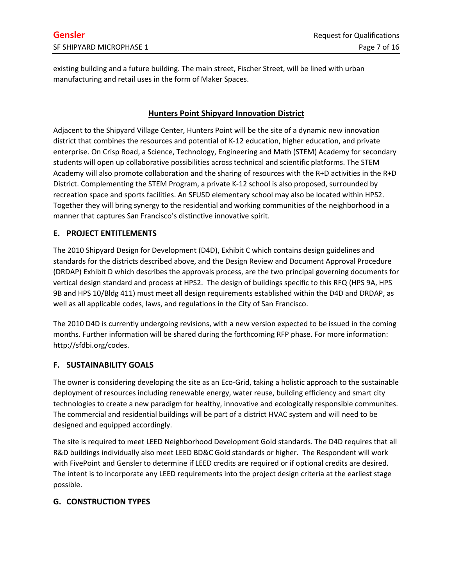existing building and a future building. The main street, Fischer Street, will be lined with urban manufacturing and retail uses in the form of Maker Spaces.

# **Hunters Point Shipyard Innovation District**

Adjacent to the Shipyard Village Center, Hunters Point will be the site of a dynamic new innovation district that combines the resources and potential of K-12 education, higher education, and private enterprise. On Crisp Road, a Science, Technology, Engineering and Math (STEM) Academy for secondary students will open up collaborative possibilities across technical and scientific platforms. The STEM Academy will also promote collaboration and the sharing of resources with the R+D activities in the R+D District. Complementing the STEM Program, a private K-12 school is also proposed, surrounded by recreation space and sports facilities. An SFUSD elementary school may also be located within HPS2. Together they will bring synergy to the residential and working communities of the neighborhood in a manner that captures San Francisco's distinctive innovative spirit.

### **E. PROJECT ENTITLEMENTS**

The 2010 Shipyard Design for Development (D4D), Exhibit C which contains design guidelines and standards for the districts described above, and the Design Review and Document Approval Procedure (DRDAP) Exhibit D which describes the approvals process, are the two principal governing documents for vertical design standard and process at HPS2. The design of buildings specific to this RFQ (HPS 9A, HPS 9B and HPS 10/Bldg 411) must meet all design requirements established within the D4D and DRDAP, as well as all applicable codes, laws, and regulations in the City of San Francisco.

The 2010 D4D is currently undergoing revisions, with a new version expected to be issued in the coming months. Further information will be shared during the forthcoming RFP phase. For more information: http://sfdbi.org/codes.

### **F. SUSTAINABILITY GOALS**

The owner is considering developing the site as an Eco-Grid, taking a holistic approach to the sustainable deployment of resources including renewable energy, water reuse, building efficiency and smart city technologies to create a new paradigm for healthy, innovative and ecologically responsible communites. The commercial and residential buildings will be part of a district HVAC system and will need to be designed and equipped accordingly.

The site is required to meet LEED Neighborhood Development Gold standards. The D4D requires that all R&D buildings individually also meet LEED BD&C Gold standards or higher. The Respondent will work with FivePoint and Gensler to determine if LEED credits are required or if optional credits are desired. The intent is to incorporate any LEED requirements into the project design criteria at the earliest stage possible.

### **G. CONSTRUCTION TYPES**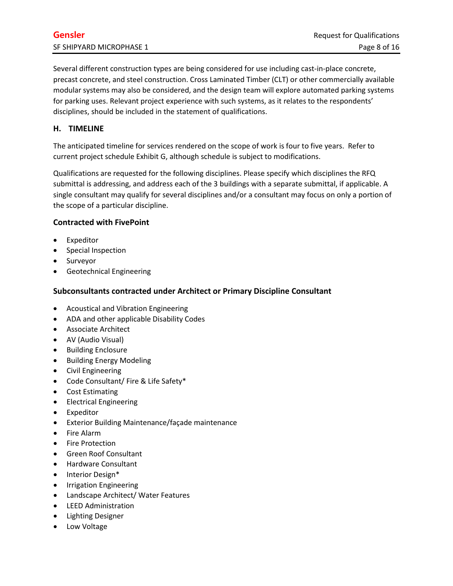Several different construction types are being considered for use including cast-in-place concrete, precast concrete, and steel construction. Cross Laminated Timber (CLT) or other commercially available modular systems may also be considered, and the design team will explore automated parking systems for parking uses. Relevant project experience with such systems, as it relates to the respondents' disciplines, should be included in the statement of qualifications.

## **H. TIMELINE**

The anticipated timeline for services rendered on the scope of work is four to five years. Refer to current project schedule Exhibit G, although schedule is subject to modifications.

Qualifications are requested for the following disciplines. Please specify which disciplines the RFQ submittal is addressing, and address each of the 3 buildings with a separate submittal, if applicable. A single consultant may qualify for several disciplines and/or a consultant may focus on only a portion of the scope of a particular discipline.

### **Contracted with FivePoint**

- Expeditor
- Special Inspection
- Surveyor
- Geotechnical Engineering

#### **Subconsultants contracted under Architect or Primary Discipline Consultant**

- Acoustical and Vibration Engineering
- ADA and other applicable Disability Codes
- Associate Architect
- AV (Audio Visual)
- Building Enclosure
- Building Energy Modeling
- Civil Engineering
- Code Consultant/ Fire & Life Safety\*
- Cost Estimating
- Electrical Engineering
- Expeditor
- Exterior Building Maintenance/façade maintenance
- Fire Alarm
- Fire Protection
- Green Roof Consultant
- Hardware Consultant
- Interior Design\*
- Irrigation Engineering
- Landscape Architect/ Water Features
- LEED Administration
- Lighting Designer
- Low Voltage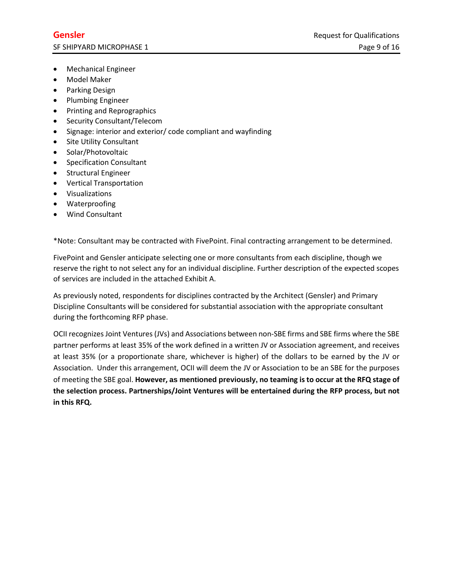- Mechanical Engineer
- Model Maker
- Parking Design
- Plumbing Engineer
- Printing and Reprographics
- Security Consultant/Telecom
- Signage: interior and exterior/ code compliant and wayfinding
- Site Utility Consultant
- Solar/Photovoltaic
- Specification Consultant
- Structural Engineer
- Vertical Transportation
- Visualizations
- Waterproofing
- Wind Consultant

\*Note: Consultant may be contracted with FivePoint. Final contracting arrangement to be determined.

FivePoint and Gensler anticipate selecting one or more consultants from each discipline, though we reserve the right to not select any for an individual discipline. Further description of the expected scopes of services are included in the attached Exhibit A.

As previously noted, respondents for disciplines contracted by the Architect (Gensler) and Primary Discipline Consultants will be considered for substantial association with the appropriate consultant during the forthcoming RFP phase.

OCII recognizes Joint Ventures (JVs) and Associations between non-SBE firms and SBE firms where the SBE partner performs at least 35% of the work defined in a written JV or Association agreement, and receives at least 35% (or a proportionate share, whichever is higher) of the dollars to be earned by the JV or Association. Under this arrangement, OCII will deem the JV or Association to be an SBE for the purposes of meeting the SBE goal. **However, as mentioned previously, no teaming is to occur at the RFQ stage of the selection process. Partnerships/Joint Ventures will be entertained during the RFP process, but not in this RFQ.**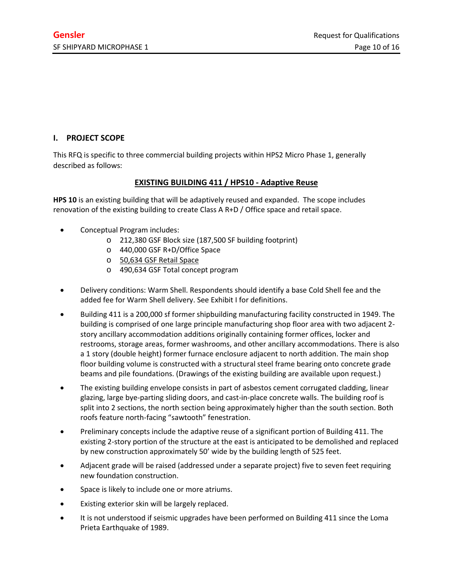## **I. PROJECT SCOPE**

This RFQ is specific to three commercial building projects within HPS2 Micro Phase 1, generally described as follows:

# **EXISTING BUILDING 411 / HPS10 - Adaptive Reuse**

**HPS 10** is an existing building that will be adaptively reused and expanded. The scope includes renovation of the existing building to create Class A R+D / Office space and retail space.

- Conceptual Program includes:
	- o 212,380 GSF Block size (187,500 SF building footprint)
	- o 440,000 GSF R+D/Office Space
	- o 50,634 GSF Retail Space
	- o 490,634 GSF Total concept program
- Delivery conditions: Warm Shell. Respondents should identify a base Cold Shell fee and the added fee for Warm Shell delivery. See Exhibit I for definitions.
- Building 411 is a 200,000 sf former shipbuilding manufacturing facility constructed in 1949. The building is comprised of one large principle manufacturing shop floor area with two adjacent 2 story ancillary accommodation additions originally containing former offices, locker and restrooms, storage areas, former washrooms, and other ancillary accommodations. There is also a 1 story (double height) former furnace enclosure adjacent to north addition. The main shop floor building volume is constructed with a structural steel frame bearing onto concrete grade beams and pile foundations. (Drawings of the existing building are available upon request.)
- The existing building envelope consists in part of asbestos cement corrugated cladding, linear glazing, large bye-parting sliding doors, and cast-in-place concrete walls. The building roof is split into 2 sections, the north section being approximately higher than the south section. Both roofs feature north-facing "sawtooth" fenestration.
- Preliminary concepts include the adaptive reuse of a significant portion of Building 411. The existing 2-story portion of the structure at the east is anticipated to be demolished and replaced by new construction approximately 50' wide by the building length of 525 feet.
- Adjacent grade will be raised (addressed under a separate project) five to seven feet requiring new foundation construction.
- Space is likely to include one or more atriums.
- Existing exterior skin will be largely replaced.
- It is not understood if seismic upgrades have been performed on Building 411 since the Loma Prieta Earthquake of 1989.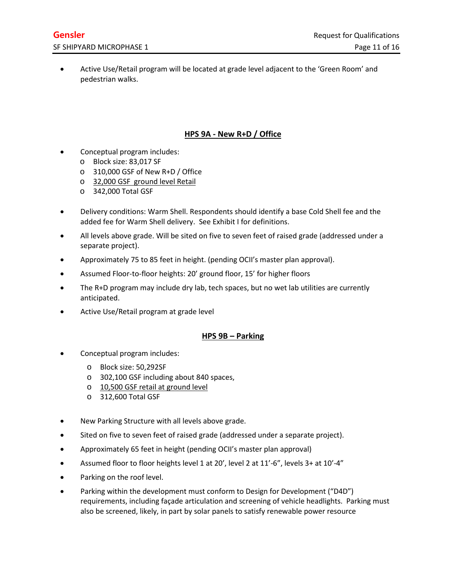• Active Use/Retail program will be located at grade level adjacent to the 'Green Room' and pedestrian walks.

# **HPS 9A - New R+D / Office**

- Conceptual program includes:
	- o Block size: 83,017 SF
	- o 310,000 GSF of New R+D / Office
	- o 32,000 GSF ground level Retail
	- o 342,000 Total GSF
- Delivery conditions: Warm Shell. Respondents should identify a base Cold Shell fee and the added fee for Warm Shell delivery. See Exhibit I for definitions.
- All levels above grade. Will be sited on five to seven feet of raised grade (addressed under a separate project).
- Approximately 75 to 85 feet in height. (pending OCII's master plan approval).
- Assumed Floor-to-floor heights: 20' ground floor, 15' for higher floors
- The R+D program may include dry lab, tech spaces, but no wet lab utilities are currently anticipated.
- Active Use/Retail program at grade level

#### **HPS 9B – Parking**

- Conceptual program includes:
	- o Block size: 50,292SF
	- o 302,100 GSF including about 840 spaces,
	- o 10,500 GSF retail at ground level
	- o 312,600 Total GSF
- New Parking Structure with all levels above grade.
- Sited on five to seven feet of raised grade (addressed under a separate project).
- Approximately 65 feet in height (pending OCII's master plan approval)
- Assumed floor to floor heights level 1 at 20', level 2 at 11'-6", levels 3+ at 10'-4"
- Parking on the roof level.
- Parking within the development must conform to Design for Development ("D4D") requirements, including façade articulation and screening of vehicle headlights. Parking must also be screened, likely, in part by solar panels to satisfy renewable power resource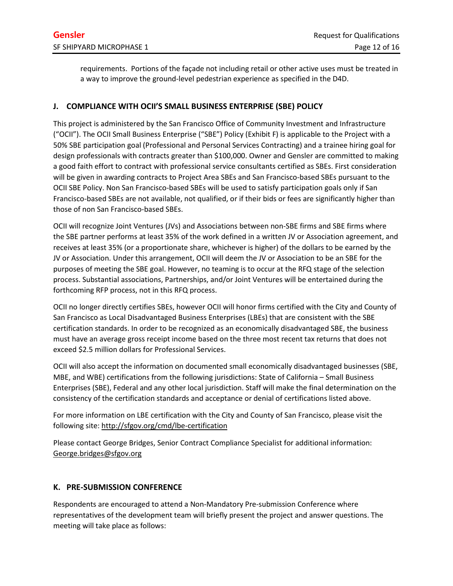requirements. Portions of the façade not including retail or other active uses must be treated in a way to improve the ground-level pedestrian experience as specified in the D4D.

## **J. COMPLIANCE WITH OCII'S SMALL BUSINESS ENTERPRISE (SBE) POLICY**

This project is administered by the San Francisco Office of Community Investment and Infrastructure ("OCII"). The OCII Small Business Enterprise ("SBE") Policy (Exhibit F) is applicable to the Project with a 50% SBE participation goal (Professional and Personal Services Contracting) and a trainee hiring goal for design professionals with contracts greater than \$100,000. Owner and Gensler are committed to making a good faith effort to contract with professional service consultants certified as SBEs. First consideration will be given in awarding contracts to Project Area SBEs and San Francisco-based SBEs pursuant to the OCII SBE Policy. Non San Francisco-based SBEs will be used to satisfy participation goals only if San Francisco-based SBEs are not available, not qualified, or if their bids or fees are significantly higher than those of non San Francisco-based SBEs.

OCII will recognize Joint Ventures (JVs) and Associations between non-SBE firms and SBE firms where the SBE partner performs at least 35% of the work defined in a written JV or Association agreement, and receives at least 35% (or a proportionate share, whichever is higher) of the dollars to be earned by the JV or Association. Under this arrangement, OCII will deem the JV or Association to be an SBE for the purposes of meeting the SBE goal. However, no teaming is to occur at the RFQ stage of the selection process. Substantial associations, Partnerships, and/or Joint Ventures will be entertained during the forthcoming RFP process, not in this RFQ process.

OCII no longer directly certifies SBEs, however OCII will honor firms certified with the City and County of San Francisco as Local Disadvantaged Business Enterprises (LBEs) that are consistent with the SBE certification standards. In order to be recognized as an economically disadvantaged SBE, the business must have an average gross receipt income based on the three most recent tax returns that does not exceed \$2.5 million dollars for Professional Services.

OCII will also accept the information on documented small economically disadvantaged businesses (SBE, MBE, and WBE) certifications from the following jurisdictions: State of California – Small Business Enterprises (SBE), Federal and any other local jurisdiction. Staff will make the final determination on the consistency of the certification standards and acceptance or denial of certifications listed above.

For more information on LBE certification with the City and County of San Francisco, please visit the following site:<http://sfgov.org/cmd/lbe-certification>

Please contact George Bridges, Senior Contract Compliance Specialist for additional information: [George.bridges@sfgov.org](file://zgf.local/data/SEA/Projects/23099.ship/05%20PM/OCII%20SBE/SBE%20RFQ%20and%20Exhibits/George.bridges@sfgov.org)

### **K. PRE-SUBMISSION CONFERENCE**

Respondents are encouraged to attend a Non-Mandatory Pre-submission Conference where representatives of the development team will briefly present the project and answer questions. The meeting will take place as follows: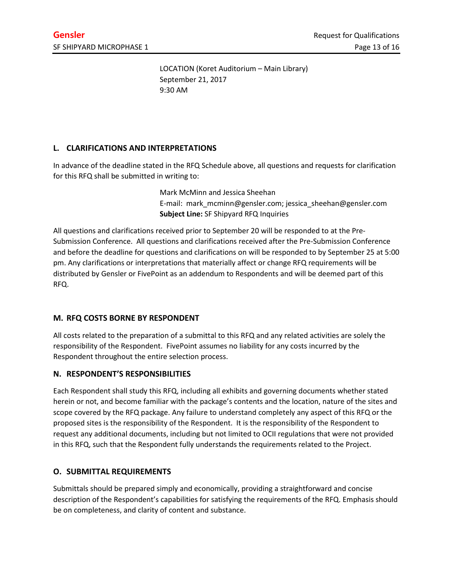LOCATION (Koret Auditorium – Main Library) September 21, 2017 9:30 AM

# **L. CLARIFICATIONS AND INTERPRETATIONS**

In advance of the deadline stated in the RFQ Schedule above, all questions and requests for clarification for this RFQ shall be submitted in writing to:

> Mark McMinn and Jessica Sheehan E-mail: mark[\\_mcminn@gensler.com;](mailto:mcminn@gensler.com) jessica\_sheehan@gensler.com **Subject Line:** SF Shipyard RFQ Inquiries

All questions and clarifications received prior to September 20 will be responded to at the Pre-Submission Conference. All questions and clarifications received after the Pre-Submission Conference and before the deadline for questions and clarifications on will be responded to by September 25 at 5:00 pm. Any clarifications or interpretations that materially affect or change RFQ requirements will be distributed by Gensler or FivePoint as an addendum to Respondents and will be deemed part of this RFQ.

### **M. RFQ COSTS BORNE BY RESPONDENT**

All costs related to the preparation of a submittal to this RFQ and any related activities are solely the responsibility of the Respondent. FivePoint assumes no liability for any costs incurred by the Respondent throughout the entire selection process.

### **N. RESPONDENT'S RESPONSIBILITIES**

Each Respondent shall study this RFQ, including all exhibits and governing documents whether stated herein or not, and become familiar with the package's contents and the location, nature of the sites and scope covered by the RFQ package. Any failure to understand completely any aspect of this RFQ or the proposed sites is the responsibility of the Respondent. It is the responsibility of the Respondent to request any additional documents, including but not limited to OCII regulations that were not provided in this RFQ, such that the Respondent fully understands the requirements related to the Project.

### **O. SUBMITTAL REQUIREMENTS**

Submittals should be prepared simply and economically, providing a straightforward and concise description of the Respondent's capabilities for satisfying the requirements of the RFQ. Emphasis should be on completeness, and clarity of content and substance.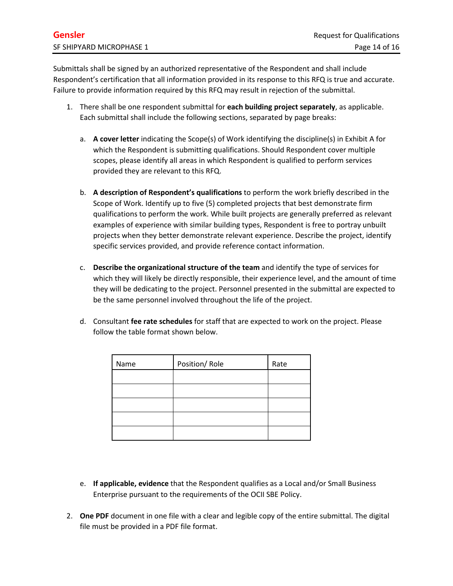Submittals shall be signed by an authorized representative of the Respondent and shall include Respondent's certification that all information provided in its response to this RFQ is true and accurate. Failure to provide information required by this RFQ may result in rejection of the submittal.

- 1. There shall be one respondent submittal for **each building project separately**, as applicable. Each submittal shall include the following sections, separated by page breaks:
	- a. **A cover letter** indicating the Scope(s) of Work identifying the discipline(s) in Exhibit A for which the Respondent is submitting qualifications. Should Respondent cover multiple scopes, please identify all areas in which Respondent is qualified to perform services provided they are relevant to this RFQ.
	- b. **A description of Respondent's qualifications** to perform the work briefly described in the Scope of Work. Identify up to five (5) completed projects that best demonstrate firm qualifications to perform the work. While built projects are generally preferred as relevant examples of experience with similar building types, Respondent is free to portray unbuilt projects when they better demonstrate relevant experience. Describe the project, identify specific services provided, and provide reference contact information.
	- c. **Describe the organizational structure of the team** and identify the type of services for which they will likely be directly responsible, their experience level, and the amount of time they will be dedicating to the project. Personnel presented in the submittal are expected to be the same personnel involved throughout the life of the project.
	- d. Consultant **fee rate schedules** for staff that are expected to work on the project. Please follow the table format shown below.

| Name | Position/Role | Rate |
|------|---------------|------|
|      |               |      |
|      |               |      |
|      |               |      |
|      |               |      |
|      |               |      |

- e. **If applicable, evidence** that the Respondent qualifies as a Local and/or Small Business Enterprise pursuant to the requirements of the OCII SBE Policy.
- 2. **One PDF** document in one file with a clear and legible copy of the entire submittal. The digital file must be provided in a PDF file format.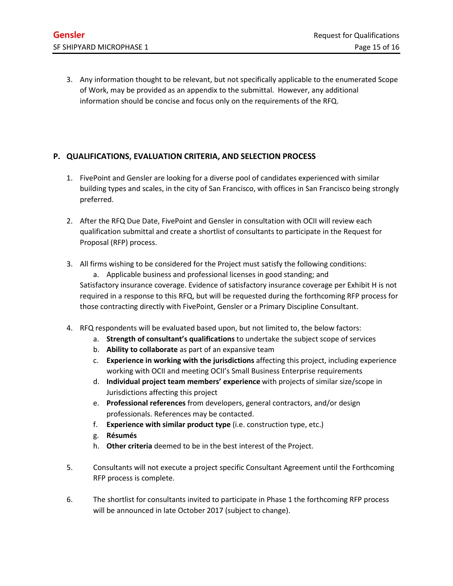3. Any information thought to be relevant, but not specifically applicable to the enumerated Scope of Work, may be provided as an appendix to the submittal. However, any additional information should be concise and focus only on the requirements of the RFQ.

# **P. QUALIFICATIONS, EVALUATION CRITERIA, AND SELECTION PROCESS**

- 1. FivePoint and Gensler are looking for a diverse pool of candidates experienced with similar building types and scales, in the city of San Francisco, with offices in San Francisco being strongly preferred.
- 2. After the RFQ Due Date, FivePoint and Gensler in consultation with OCII will review each qualification submittal and create a shortlist of consultants to participate in the Request for Proposal (RFP) process.
- 3. All firms wishing to be considered for the Project must satisfy the following conditions:

a. Applicable business and professional licenses in good standing; and Satisfactory insurance coverage. Evidence of satisfactory insurance coverage per Exhibit H is not required in a response to this RFQ, but will be requested during the forthcoming RFP process for those contracting directly with FivePoint, Gensler or a Primary Discipline Consultant.

- 4. RFQ respondents will be evaluated based upon, but not limited to, the below factors:
	- a. **Strength of consultant's qualifications** to undertake the subject scope of services
	- b. **Ability to collaborate** as part of an expansive team
	- c. **Experience in working with the jurisdictions** affecting this project, including experience working with OCII and meeting OCII's Small Business Enterprise requirements
	- d. **Individual project team members' experience** with projects of similar size/scope in Jurisdictions affecting this project
	- e. **Professional references** from developers, general contractors, and/or design professionals. References may be contacted.
	- f. **Experience with similar product type** (i.e. construction type, etc.)
	- g. **Résumés**
	- h. **Other criteria** deemed to be in the best interest of the Project.
- 5. Consultants will not execute a project specific Consultant Agreement until the Forthcoming RFP process is complete.
- 6. The shortlist for consultants invited to participate in Phase 1 the forthcoming RFP process will be announced in late October 2017 (subject to change).